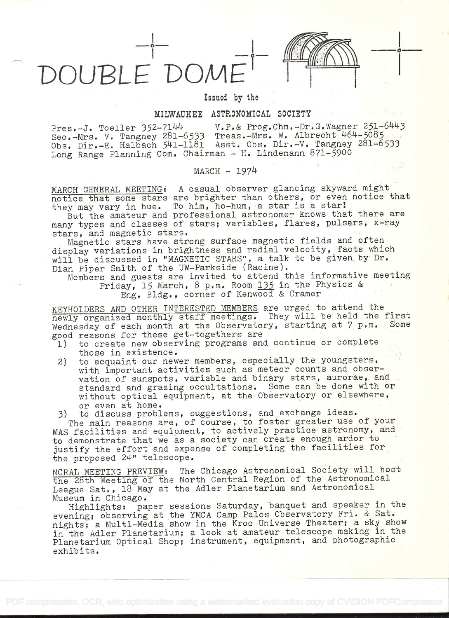DOUBLE DOME

## Issued by the

## MILWAUKEE ASTRONOMICAL SOCIETY

Pres.-J. Toeller 352-7144 V.P.& Prog.Chm.-Dr.G.Wagner 251-6443 Sec.-Mrs. V. Tangney 281-6533 Treas.-Mrs. W. Albrecht 464-5085  $\frac{1}{200}$ . Dir.-E. Halbach  $\frac{541-1181}{241-1181}$  Asst. Obs. Dir.-V. Tangney 281-6533 Long Range Planning Com. Chairman - H. Lindemann  $871-5900$ 

## MARCH - l9714

MARCH GENERAL MEETING: A casual observer glancing skyward might<br>notice that some stars are brighter than others, or even notice that they may vary in hue. To him, ho-hum, a star is a star!

But the amateur and professional astronomer knows that there are many types and classes of stars; variables, flares, pulsars, x-ray stars, and magnetic stars.

Magnetic stars have strong surface magnetic fields and often display variations in brightness and radial velocity, facts which will be discussed in "MAGNETIC STARS", a talk to be given by Dr. Dian Piper Smith of the UW-Parkside (Racine).

Members and guests are invited to attend this informative meeting<br>Friday, 15 March, 8 p.m. Room 135 in the Physics & Eng. Bldg., corner of Kenwood & Cramer

KEYHOLDERS AND OTHER INTERESTED MEMBERS are urged to attend the newly organized monthly staff meetings. They will be held the first<br>Wednesday of each month at the Observatory, starting at 7 p.m. Some Wednesday of each month at the Observatory, starting at 7 p.m. good reasons for these get-togethers are<br>1) to create new observing programs and

- to create new observing programs and continue or complete those in existence.
- 2) to acquaint our newer members, especially the youngsters, with important activities such as meteor counts and observation of sunspots, variable and binary stars, aurorae, and standard and grazing occultations. Some can be done with or without optical equipment, at the Observatory or elsewhere, or even at home.

3) to discuss problems, suggestions, and exchange ideas.

The main reasons are, of course, to foster greater use of your MAS facilities and equipment, to actively practice astronomy, and to demonstrate that we as a society can create enough ardor to justify the effort and expense of completing the facilities for the proposed 24" telescope.

NCRAL MEETING PREVIEW: The Chicago Astronomical Society will host the 28th Meeting of the North Central Region of the Astronomical League Sat., 18 May at the Adler Planetarium and Astronomical<br>Museum in Chicago.

Highlights: paper sessions Saturday, banquet and speaker in the evening; observing at the YMCA Camp Palos Observatory Fri. & Sat. nights; a Multi-Media show in the Kroc Universe Theater; a sky show in the Adler Planetarium; a look at amateur telescope making in the Planetarium Optical Shop; instrument, equipment, and photographic<br>exhibits.